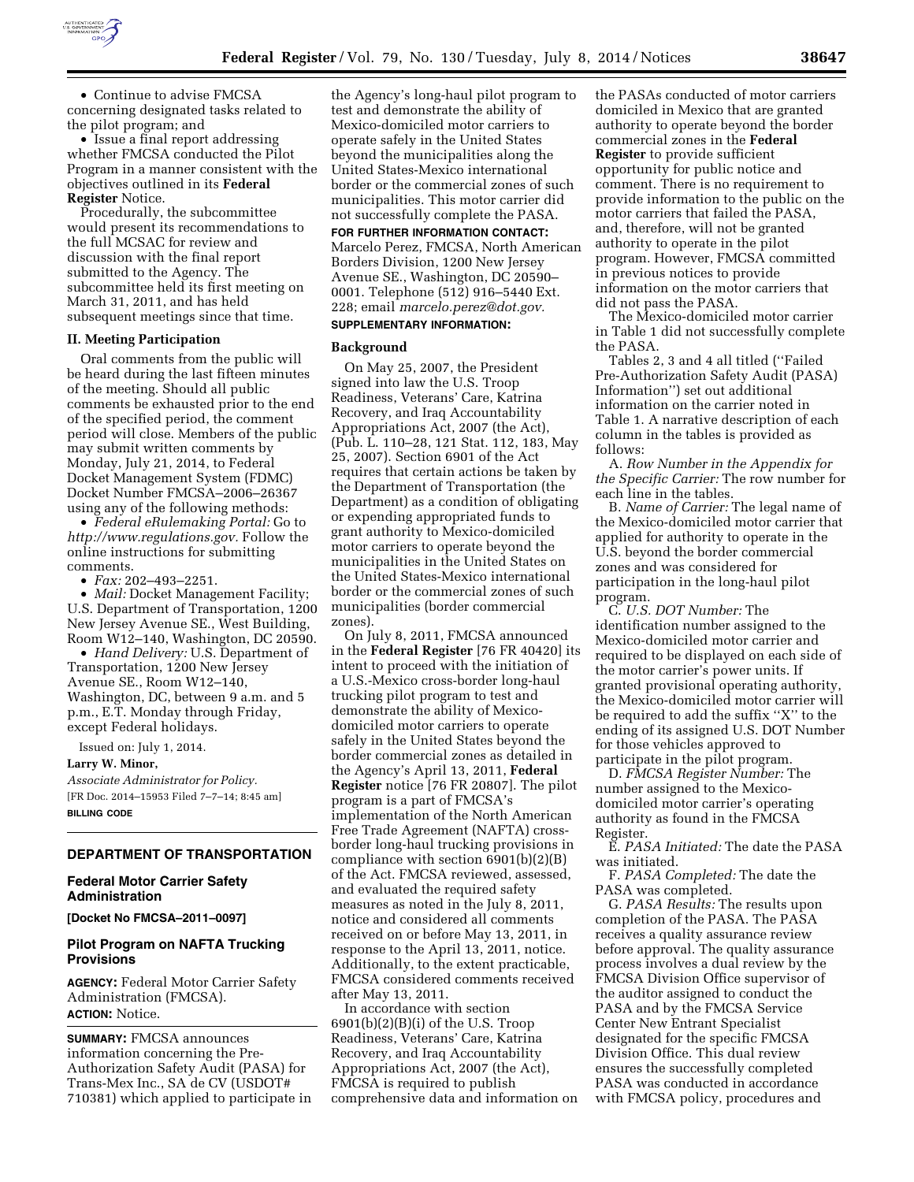

• Continue to advise FMCSA concerning designated tasks related to the pilot program; and

• Issue a final report addressing whether FMCSA conducted the Pilot Program in a manner consistent with the objectives outlined in its **Federal Register** Notice.

Procedurally, the subcommittee would present its recommendations to the full MCSAC for review and discussion with the final report submitted to the Agency. The subcommittee held its first meeting on March 31, 2011, and has held subsequent meetings since that time.

#### **II. Meeting Participation**

Oral comments from the public will be heard during the last fifteen minutes of the meeting. Should all public comments be exhausted prior to the end of the specified period, the comment period will close. Members of the public may submit written comments by Monday, July 21, 2014, to Federal Docket Management System (FDMC) Docket Number FMCSA–2006–26367 using any of the following methods:

• *Federal eRulemaking Portal:* Go to *[http://www.regulations.gov.](http://www.regulations.gov)* Follow the online instructions for submitting comments.

• *Fax:* 202–493–2251.

• *Mail:* Docket Management Facility; U.S. Department of Transportation, 1200 New Jersey Avenue SE., West Building, Room W12–140, Washington, DC 20590.

• *Hand Delivery:* U.S. Department of Transportation, 1200 New Jersey Avenue SE., Room W12–140, Washington, DC, between 9 a.m. and 5 p.m., E.T. Monday through Friday, except Federal holidays.

Issued on: July 1, 2014.

#### **Larry W. Minor,**

*Associate Administrator for Policy.*  [FR Doc. 2014–15953 Filed 7–7–14; 8:45 am] **BILLING CODE** 

# **DEPARTMENT OF TRANSPORTATION**

#### **Federal Motor Carrier Safety Administration**

**[Docket No FMCSA–2011–0097]** 

#### **Pilot Program on NAFTA Trucking Provisions**

**AGENCY:** Federal Motor Carrier Safety Administration (FMCSA). **ACTION:** Notice.

**SUMMARY:** FMCSA announces information concerning the Pre-Authorization Safety Audit (PASA) for Trans-Mex Inc., SA de CV (USDOT# 710381) which applied to participate in

the Agency's long-haul pilot program to test and demonstrate the ability of Mexico-domiciled motor carriers to operate safely in the United States beyond the municipalities along the United States-Mexico international border or the commercial zones of such municipalities. This motor carrier did not successfully complete the PASA.

**FOR FURTHER INFORMATION CONTACT:** 

Marcelo Perez, FMCSA, North American Borders Division, 1200 New Jersey Avenue SE., Washington, DC 20590– 0001. Telephone (512) 916–5440 Ext. 228; email *[marcelo.perez@dot.gov.](mailto:marcelo.perez@dot.gov)* 

# **SUPPLEMENTARY INFORMATION:**

#### **Background**

On May 25, 2007, the President signed into law the U.S. Troop Readiness, Veterans' Care, Katrina Recovery, and Iraq Accountability Appropriations Act, 2007 (the Act), (Pub. L. 110–28, 121 Stat. 112, 183, May 25, 2007). Section 6901 of the Act requires that certain actions be taken by the Department of Transportation (the Department) as a condition of obligating or expending appropriated funds to grant authority to Mexico-domiciled motor carriers to operate beyond the municipalities in the United States on the United States-Mexico international border or the commercial zones of such municipalities (border commercial zones).

On July 8, 2011, FMCSA announced in the **Federal Register** [76 FR 40420] its intent to proceed with the initiation of a U.S.-Mexico cross-border long-haul trucking pilot program to test and demonstrate the ability of Mexicodomiciled motor carriers to operate safely in the United States beyond the border commercial zones as detailed in the Agency's April 13, 2011, **Federal Register** notice [76 FR 20807]. The pilot program is a part of FMCSA's implementation of the North American Free Trade Agreement (NAFTA) crossborder long-haul trucking provisions in compliance with section 6901(b)(2)(B) of the Act. FMCSA reviewed, assessed, and evaluated the required safety measures as noted in the July 8, 2011, notice and considered all comments received on or before May 13, 2011, in response to the April 13, 2011, notice. Additionally, to the extent practicable, FMCSA considered comments received after May 13, 2011.

In accordance with section 6901(b)(2)(B)(i) of the U.S. Troop Readiness, Veterans' Care, Katrina Recovery, and Iraq Accountability Appropriations Act, 2007 (the Act), FMCSA is required to publish comprehensive data and information on the PASAs conducted of motor carriers domiciled in Mexico that are granted authority to operate beyond the border commercial zones in the **Federal Register** to provide sufficient opportunity for public notice and comment. There is no requirement to provide information to the public on the motor carriers that failed the PASA, and, therefore, will not be granted authority to operate in the pilot program. However, FMCSA committed in previous notices to provide information on the motor carriers that did not pass the PASA.

The Mexico-domiciled motor carrier in Table 1 did not successfully complete the PASA.

Tables 2, 3 and 4 all titled (''Failed Pre-Authorization Safety Audit (PASA) Information'') set out additional information on the carrier noted in Table 1. A narrative description of each column in the tables is provided as follows:

A. *Row Number in the Appendix for the Specific Carrier:* The row number for each line in the tables.

B. *Name of Carrier:* The legal name of the Mexico-domiciled motor carrier that applied for authority to operate in the U.S. beyond the border commercial zones and was considered for participation in the long-haul pilot program.

C. *U.S. DOT Number:* The identification number assigned to the Mexico-domiciled motor carrier and required to be displayed on each side of the motor carrier's power units. If granted provisional operating authority, the Mexico-domiciled motor carrier will be required to add the suffix ''X'' to the ending of its assigned U.S. DOT Number for those vehicles approved to participate in the pilot program.

D. *FMCSA Register Number:* The number assigned to the Mexicodomiciled motor carrier's operating authority as found in the FMCSA Register.

E. *PASA Initiated:* The date the PASA was initiated.

F. *PASA Completed:* The date the PASA was completed.

G. *PASA Results:* The results upon completion of the PASA. The PASA receives a quality assurance review before approval. The quality assurance process involves a dual review by the FMCSA Division Office supervisor of the auditor assigned to conduct the PASA and by the FMCSA Service Center New Entrant Specialist designated for the specific FMCSA Division Office. This dual review ensures the successfully completed PASA was conducted in accordance with FMCSA policy, procedures and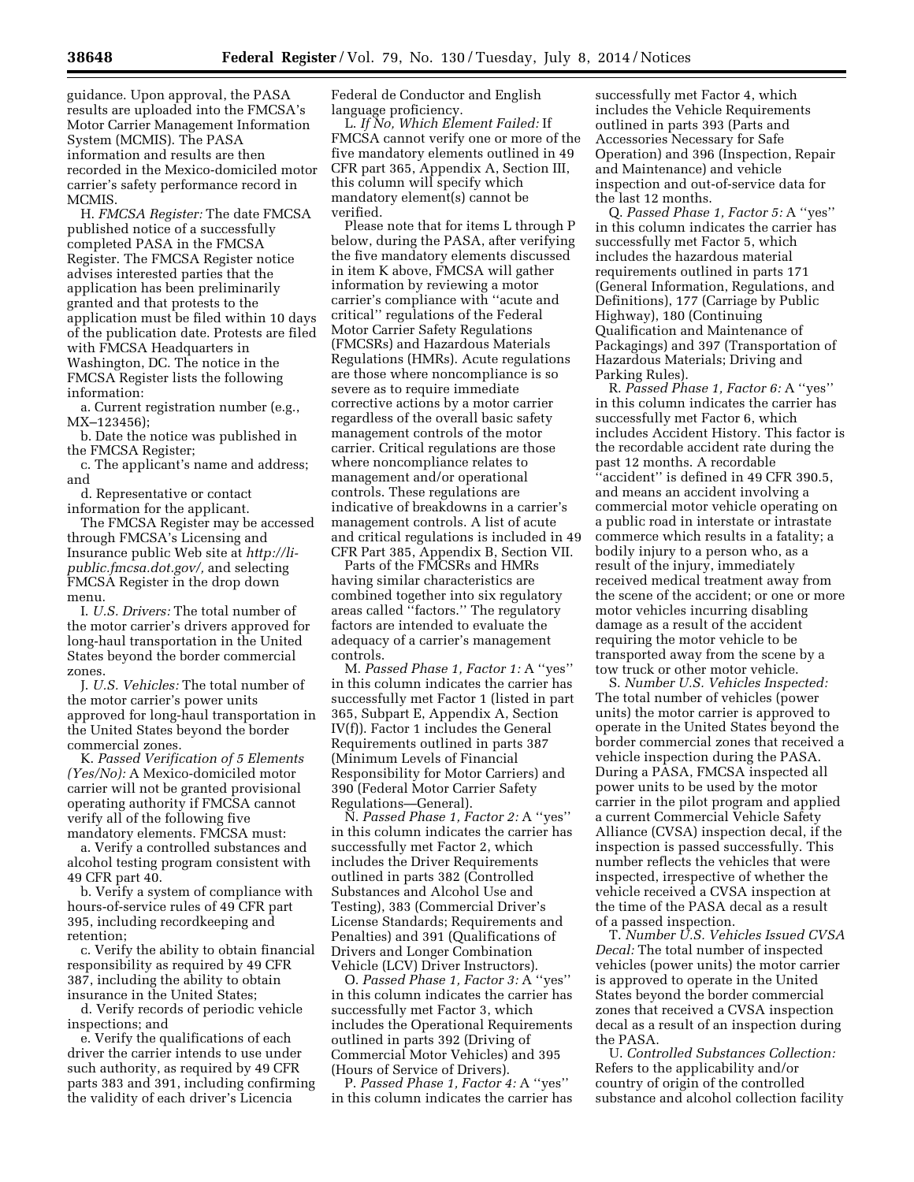guidance. Upon approval, the PASA results are uploaded into the FMCSA's Motor Carrier Management Information System (MCMIS). The PASA information and results are then recorded in the Mexico-domiciled motor carrier's safety performance record in MCMIS.

H. *FMCSA Register:* The date FMCSA published notice of a successfully completed PASA in the FMCSA Register. The FMCSA Register notice advises interested parties that the application has been preliminarily granted and that protests to the application must be filed within 10 days of the publication date. Protests are filed with FMCSA Headquarters in Washington, DC. The notice in the FMCSA Register lists the following information:

a. Current registration number (e.g., MX–123456);

b. Date the notice was published in the FMCSA Register;

c. The applicant's name and address; and

d. Representative or contact information for the applicant.

The FMCSA Register may be accessed through FMCSA's Licensing and Insurance public Web site at *[http://li](http://li-public.fmcsa.dot.gov/)[public.fmcsa.dot.gov/,](http://li-public.fmcsa.dot.gov/)* and selecting FMCSA Register in the drop down menu.

I. *U.S. Drivers:* The total number of the motor carrier's drivers approved for long-haul transportation in the United States beyond the border commercial zones.

J. *U.S. Vehicles:* The total number of the motor carrier's power units approved for long-haul transportation in the United States beyond the border commercial zones.

K. *Passed Verification of 5 Elements (Yes/No):* A Mexico-domiciled motor carrier will not be granted provisional operating authority if FMCSA cannot verify all of the following five mandatory elements. FMCSA must:

a. Verify a controlled substances and alcohol testing program consistent with 49 CFR part 40.

b. Verify a system of compliance with hours-of-service rules of 49 CFR part 395, including recordkeeping and retention;

c. Verify the ability to obtain financial responsibility as required by 49 CFR 387, including the ability to obtain insurance in the United States;

d. Verify records of periodic vehicle inspections; and

e. Verify the qualifications of each driver the carrier intends to use under such authority, as required by 49 CFR parts 383 and 391, including confirming the validity of each driver's Licencia

Federal de Conductor and English language proficiency.

L. *If No, Which Element Failed:* If FMCSA cannot verify one or more of the five mandatory elements outlined in 49 CFR part 365, Appendix A, Section III, this column will specify which mandatory element(s) cannot be verified.

Please note that for items L through P below, during the PASA, after verifying the five mandatory elements discussed in item K above, FMCSA will gather information by reviewing a motor carrier's compliance with ''acute and critical'' regulations of the Federal Motor Carrier Safety Regulations (FMCSRs) and Hazardous Materials Regulations (HMRs). Acute regulations are those where noncompliance is so severe as to require immediate corrective actions by a motor carrier regardless of the overall basic safety management controls of the motor carrier. Critical regulations are those where noncompliance relates to management and/or operational controls. These regulations are indicative of breakdowns in a carrier's management controls. A list of acute and critical regulations is included in 49 CFR Part 385, Appendix B, Section VII.

Parts of the FMCSRs and HMRs having similar characteristics are combined together into six regulatory areas called ''factors.'' The regulatory factors are intended to evaluate the adequacy of a carrier's management controls.

M. *Passed Phase 1, Factor 1:* A ''yes'' in this column indicates the carrier has successfully met Factor 1 (listed in part 365, Subpart E, Appendix A, Section IV(f)). Factor 1 includes the General Requirements outlined in parts 387 (Minimum Levels of Financial Responsibility for Motor Carriers) and 390 (Federal Motor Carrier Safety Regulations—General).

N. *Passed Phase 1, Factor 2:* A ''yes'' in this column indicates the carrier has successfully met Factor 2, which includes the Driver Requirements outlined in parts 382 (Controlled Substances and Alcohol Use and Testing), 383 (Commercial Driver's License Standards; Requirements and Penalties) and 391 (Qualifications of Drivers and Longer Combination Vehicle (LCV) Driver Instructors).

O. *Passed Phase 1, Factor 3:* A ''yes'' in this column indicates the carrier has successfully met Factor 3, which includes the Operational Requirements outlined in parts 392 (Driving of Commercial Motor Vehicles) and 395 (Hours of Service of Drivers).

P. *Passed Phase 1, Factor 4:* A ''yes'' in this column indicates the carrier has

successfully met Factor 4, which includes the Vehicle Requirements outlined in parts 393 (Parts and Accessories Necessary for Safe Operation) and 396 (Inspection, Repair and Maintenance) and vehicle inspection and out-of-service data for the last 12 months.

Q. *Passed Phase 1, Factor 5:* A ''yes'' in this column indicates the carrier has successfully met Factor 5, which includes the hazardous material requirements outlined in parts 171 (General Information, Regulations, and Definitions), 177 (Carriage by Public Highway), 180 (Continuing Qualification and Maintenance of Packagings) and 397 (Transportation of Hazardous Materials; Driving and Parking Rules).

R. *Passed Phase 1, Factor 6:* A ''yes'' in this column indicates the carrier has successfully met Factor 6, which includes Accident History. This factor is the recordable accident rate during the past 12 months. A recordable ''accident'' is defined in 49 CFR 390.5, and means an accident involving a commercial motor vehicle operating on a public road in interstate or intrastate commerce which results in a fatality; a bodily injury to a person who, as a result of the injury, immediately received medical treatment away from the scene of the accident; or one or more motor vehicles incurring disabling damage as a result of the accident requiring the motor vehicle to be transported away from the scene by a tow truck or other motor vehicle.

S. *Number U.S. Vehicles Inspected:*  The total number of vehicles (power units) the motor carrier is approved to operate in the United States beyond the border commercial zones that received a vehicle inspection during the PASA. During a PASA, FMCSA inspected all power units to be used by the motor carrier in the pilot program and applied a current Commercial Vehicle Safety Alliance (CVSA) inspection decal, if the inspection is passed successfully. This number reflects the vehicles that were inspected, irrespective of whether the vehicle received a CVSA inspection at the time of the PASA decal as a result of a passed inspection.

T. *Number U.S. Vehicles Issued CVSA Decal:* The total number of inspected vehicles (power units) the motor carrier is approved to operate in the United States beyond the border commercial zones that received a CVSA inspection decal as a result of an inspection during the PASA.

U. *Controlled Substances Collection:*  Refers to the applicability and/or country of origin of the controlled substance and alcohol collection facility